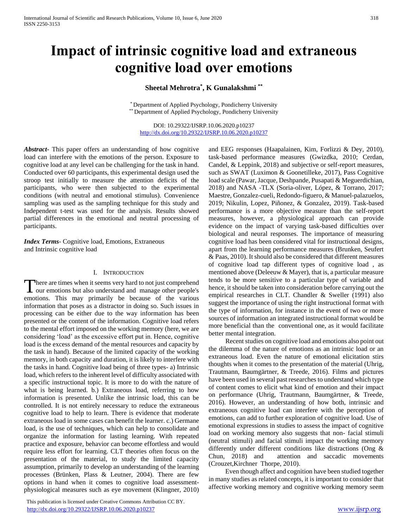# **Impact of intrinsic cognitive load and extraneous cognitive load over emotions**

## **Sheetal Mehrotra\* , K Gunalakshmi \*\***

\* Department of Applied Psychology, Pondicherry University \*\* Department of Applied Psychology, Pondicherry University

DOI: 10.29322/IJSRP.10.06.2020.p10237 <http://dx.doi.org/10.29322/IJSRP.10.06.2020.p10237>

*Abstract***-** This paper offers an understanding of how cognitive load can interfere with the emotions of the person. Exposure to cognitive load at any level can be challenging for the task in hand. Conducted over 60 participants, this experimental design used the stroop test initially to measure the attention deficits of the participants, who were then subjected to the experimental conditions (with neutral and emotional stimulus). Convenience sampling was used as the sampling technique for this study and Independent t-test was used for the analysis. Results showed partial differences in the emotional and neutral processing of participants.

*Index Terms*- Cognitive load, Emotions, Extraneous and Intrinsic cognitive load

## I. INTRODUCTION

here are times when it seems very hard to not just comprehend There are times when it seems very hard to not just comprehend<br>our emotions but also understand and manage other people's emotions. This may primarily be because of the various information that poses as a distractor in doing so. Such issues in processing can be either due to the way information has been presented or the content of the information. Cognitive load refers to the mental effort imposed on the working memory (here, we are considering 'load' as the excessive effort put in. Hence, cognitive load is the excess demand of the mental resources and capacity by the task in hand). Because of the limited capacity of the working memory, in both capacity and duration, it is likely to interfere with the tasks in hand. Cognitive load being of three types- a) Intrinsic load, which refers to the inherent level of difficulty associated with a specific instructional topic. It is more to do with the nature of what is being learned. b.) Extraneous load, referring to how information is presented. Unlike the intrinsic load, this can be controlled. It is not entirely necessary to reduce the extraneous cognitive load to help to learn. There is evidence that moderate extraneous load in some cases can benefit the learner. c.) Germane load, is the use of techniques, which can help to consolidate and organize the information for lasting learning. With repeated practice and exposure, behavior can become effortless and would require less effort for learning. CLT theories often focus on the presentation of the material, to study the limited capacity assumption, primarily to develop an understanding of the learning processes (Brünken, Plass & Leutner, 2004). There are few options in hand when it comes to cognitive load assessmentphysiological measures such as eye movement (Klingner, 2010)

 This publication is licensed under Creative Commons Attribution CC BY. <http://dx.doi.org/10.29322/IJSRP.10.06.2020.p10237> [www.ijsrp.org](http://ijsrp.org/)

and EEG responses (Haapalainen, Kim, Forlizzi & Dey, 2010), task-based performance measures (Gwizdka, 2010; Cerdan, Candel, & Leppink, 2018) and subjective or self-report measures, such as SWAT (Luximon & Goonetilleke, 2017), Pass Cognitive load scale (Pawar, Jacque, Deshpande, Pusapati & Meguerdichian, 2018) and NASA -TLX (Soria-oliver, López, & Torrano, 2017; Maestre, Gonzalez-cueli, Redondo-figuero, & Manuel-palazuelos, 2019; Nikulin, Lopez, Piñonez, & Gonzalez, 2019). Task-based performance is a more objective measure than the self-report measures, however, a physiological approach can provide evidence on the impact of varying task-based difficulties over biological and neural responses. The importance of measuring cognitive load has been considered vital for instructional designs, apart from the learning performance measures (Brunken, Seufert & Paas, 2010). It should also be considered that different measures of cognitive load tap different types of cognitive load , as mentioned above (Deleeuw & Mayer), that is, a particular measure tends to be more sensitive to a particular type of variable and hence, it should be taken into consideration before carrying out the empirical researches in CLT. Chandler & Sweller (1991) also suggest the importance of using the right instructional format with the type of information, for instance in the event of two or more sources of information an integrated instructional format would be more beneficial than the conventional one, as it would facilitate better mental integration.

 Recent studies on cognitive load and emotions also point out the dilemma of the nature of emotions as an intrinsic load or an extraneous load. Even the nature of emotional elicitation stirs thoughts when it comes to the presentation of the material (Uhrig, Trautmann, Baumgärtner, & Treede, 2016). Films and pictures have been used in several past researches to understand which type of content comes to elicit what kind of emotion and their impact on performance (Uhrig, Trautmann, Baumgärtner, & Treede, 2016). However, an understanding of how both, intrinsic and extraneous cognitive load can interfere with the perception of emotions, can add to further exploration of cognitive load. Use of emotional expressions in studies to assess the impact of cognitive load on working memory also suggests that non- facial stimuli (neutral stimuli) and facial stimuli impact the working memory differently under different conditions like distractions (Ong & Chun, 2018) and attention and saccadic movements (Crouzet,Kirchner Thorpe, 2010).

 Even though affect and cognition have been studied together in many studies as related concepts, it is important to consider that affective working memory and cognitive working memory seem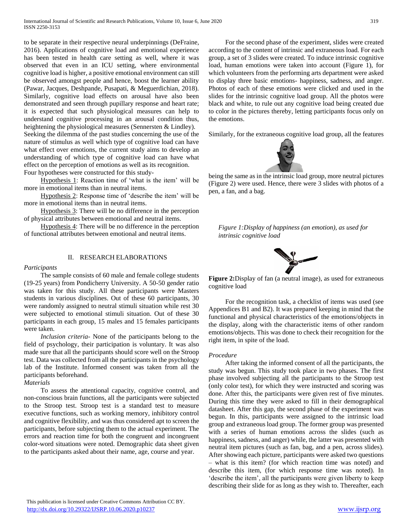to be separate in their respective neural underpinnings (DeFraine, 2016). Applications of cognitive load and emotional experience has been tested in health care setting as well, where it was observed that even in an ICU setting, where environmental cognitive load is higher, a positive emotional environment can still be observed amongst people and hence, boost the learner ability (Pawar, Jacques, Deshpande, Pusapati, & Meguerdichian, 2018). Similarly, cognitive load effects on arousal have also been demonstrated and seen through pupillary response and heart rate; it is expected that such physiological measures can help to understand cognitive processing in an arousal condition thus, heightening the physiological measures (Sennersten & Lindley). Seeking the dilemma of the past studies concerning the use of the nature of stimulus as well which type of cognitive load can have what effect over emotions, the current study aims to develop an understanding of which type of cognitive load can have what effect on the perception of emotions as well as its recognition. Four hypotheses were constructed for this study-

 Hypothesis 1: Reaction time of 'what is the item' will be more in emotional items than in neutral items.

 Hypothesis 2: Response time of 'describe the item' will be more in emotional items than in neutral items.

 Hypothesis 3: There will be no difference in the perception of physical attributes between emotional and neutral items.

 Hypothesis 4: There will be no difference in the perception of functional attributes between emotional and neutral items.

## II. RESEARCH ELABORATIONS

## *Participants*

 The sample consists of 60 male and female college students (19-25 years) from Pondicherry University. A 50-50 gender ratio was taken for this study. All these participants were Masters students in various disciplines. Out of these 60 participants, 30 were randomly assigned to neutral stimuli situation while rest 30 were subjected to emotional stimuli situation. Out of these 30 participants in each group, 15 males and 15 females participants were taken.

 *Inclusion criteria*- None of the participants belong to the field of psychology, their participation is voluntary. It was also made sure that all the participants should score well on the Stroop test. Data was collected from all the participants in the psychology lab of the Institute. Informed consent was taken from all the participants beforehand.

## *Materials*

 To assess the attentional capacity, cognitive control, and non-conscious brain functions, all the participants were subjected to the Stroop test. Stroop test is a standard test to measure executive functions, such as working memory, inhibitory control and cognitive flexibility, and was thus considered apt to screen the participants, before subjecting them to the actual experiment. The errors and reaction time for both the congruent and incongruent color-word situations were noted. Demographic data sheet given to the participants asked about their name, age, course and year.

 For the second phase of the experiment, slides were created according to the content of intrinsic and extraneous load. For each group, a set of 3 slides were created. To induce intrinsic cognitive load, human emotions were taken into account [\(Figure](#page-1-0) 1), for which volunteers from the performing arts department were asked to display three basic emotions- happiness, sadness, and anger. Photos of each of these emotions were clicked and used in the slides for the intrinsic cognitive load group. All the photos were black and white, to rule out any cognitive load being created due to color in the pictures thereby, letting participants focus only on the emotions.

Similarly, for the extraneous cognitive load group, all the features



being the same as in the intrinsic load group, more neutral pictures [\(Figure 2\)](#page-1-1) were used. Hence, there were 3 slides with photos of a pen, a fan, and a bag.

<span id="page-1-0"></span>*Figure 1:Display of happiness (an emotion), as used for intrinsic cognitive load*



**Figure 2:**Display of fan (a neutral image), as used for extraneous cognitive load

<span id="page-1-1"></span> For the recognition task, a checklist of items was used (see Appendices B1 and B2). It was prepared keeping in mind that the functional and physical characteristics of the emotions/objects in the display, along with the characteristic items of other random emotions/objects. This was done to check their recognition for the right item, in spite of the load.

#### *Procedure*

 After taking the informed consent of all the participants, the study was begun. This study took place in two phases. The first phase involved subjecting all the participants to the Stroop test (only color test), for which they were instructed and scoring was done. After this, the participants were given rest of five minutes. During this time they were asked to fill in their demographical datasheet. After this gap, the second phase of the experiment was begun. In this, participants were assigned to the intrinsic load group and extraneous load group. The former group was presented with a series of human emotions across the slides (such as happiness, sadness, and anger) while, the latter was presented with neutral item pictures (such as fan, bag, and a pen, across slides). After showing each picture, participants were asked two questions – what is this item? (for which reaction time was noted) and describe this item, (for which response time was noted). In 'describe the item', all the participants were given liberty to keep describing their slide for as long as they wish to. Thereafter, each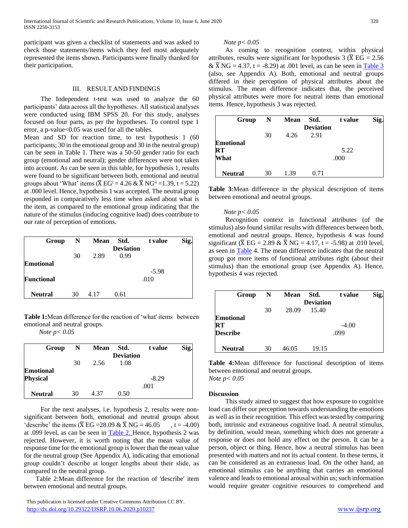participant was given a checklist of statements and was asked to check those statements/items which they feel most adequately represented the items shown. Participants were finally thanked for their participation.

## III. RESULT AND FINDINGS

 The Independent t-test was used to analyze the 60 participants' data across all the hypotheses. All statistical analyses were conducted using IBM SPSS 20. For this study, analyses focused on four parts, as per the hypotheses. To control type 1 error, a p-value<0.05 was used for all the tables.

Mean and SD for reaction time, to test hypothesis 1 (60) participants; 30 in the emotional group and 30 in the neutral group) can be seen in [Table 1.](#page-2-0) There was a 50-50 gender ratio for each group (emotional and neutral); gender differences were not taken into account. As can be seen in this table, for hypothesis 1, results were found to be significant between both, emotional and neutral groups about 'What' items ( $\overline{X} EG^i = 4.26 \& \overline{X} NG^{ii} = 1.39$ , t = 5.22) at .000 level. Hence, hypothesis 1 was accepted. The neutral group responded in comparatively less time when asked about what is the item, as compared to the emotional group indicating that the nature of the stimulus (inducing cognitive load) does contribute to our rate of perception of emotions.

| Group             | N  | <b>Mean</b> | Std.<br><b>Deviation</b> | t value         | Sig. |
|-------------------|----|-------------|--------------------------|-----------------|------|
|                   | 30 | 2.89        | 0.99                     |                 |      |
| <b>Emotional</b>  |    |             |                          |                 |      |
| <b>Functional</b> |    |             |                          | $-5.98$<br>.010 |      |
| <b>Neutral</b>    | 30 | 4.17        | 0.61                     |                 |      |

<span id="page-2-0"></span>**Table 1:**Mean difference for the reaction of 'what' items between emotional and neutral groups.

 *Note p< 0.05*

| Group            | N                | <b>Mean</b> | Std. | t value | Sig. |  |
|------------------|------------------|-------------|------|---------|------|--|
|                  | <b>Deviation</b> |             |      |         |      |  |
|                  | 30               | 2.56        | 1.08 |         |      |  |
| <b>Emotional</b> |                  |             |      |         |      |  |
| <b>Physical</b>  |                  |             |      | $-8.29$ |      |  |
|                  |                  |             |      | .001    |      |  |
| <b>Neutral</b>   | 30               | 4.37        | 0.50 |         |      |  |

 For the next analyses, i.e. hypothesis 2, results were nonsignificant between both, emotional and neutral groups about 'describe' the items ( $\overline{X}$  EG =28.09 &  $\overline{X}$  NG = 46.05, t = -4.00) at .099 level, as can be seen in [Table 2. H](file:///C:/Users/SHEETAL/OneDrive/Desktop/dfs.docx%23_bookmark2)ence, hypothesis 2 was rejected. However, it is worth noting that the mean value of response time for the emotional group is lower than the mean value for the neutral group (See Appendix A), indicating that emotional group couldn't describe at longer lengths about their slide, as compared to the neutral group.

 Table 2:Mean difference for the reaction of 'describe' item between emotional and neutral groups.

## *Note p< 0.05*

 As coming to recognition context, within physical attributes, results were significant for hypothesis 3 ( $\overline{X}$  EG = 2.56) &  $\overline{X}$  NG = 4.37, t = -8.29) at .001 level, as can be seen in [Table 3](file:///C:/Users/SHEETAL/OneDrive/Desktop/dfs.docx%23_bookmark3) (also, see Appendix A). Both, emotional and neutral groups differed in their perception of physical attributes about the stimulus. The mean difference indicates that, the perceived physical attributes were more for neutral items than emotional items. Hence, hypothesis 3 was rejected.

| Group                                      | N  | <b>Mean</b> | Std.<br><b>Deviation</b> | t value      | Sig. |
|--------------------------------------------|----|-------------|--------------------------|--------------|------|
|                                            | 30 | 4.26        | 2.91                     |              |      |
| <b>Emotional</b><br>$\mathbf{R}$ T<br>What |    |             |                          | 5.22<br>.000 |      |
| <b>Neutral</b>                             | 30 | 1.39        | 0.71                     |              |      |

**Table 3**:Mean difference in the physical description of items between emotional and neutral groups.

## *Note p< 0.05*

 Recognition context in functional attributes (of the stimulus) also found similar results with differences between both, emotional and neutral groups. Hence, hypothesis 4 was found significant ( $\overline{X}$  EG = 2.89 &  $\overline{X}$  NG = 4.17, t = -5.98) at .010 level, as seen in [Table](file:///I:/G%20Drive/RESEARCH/Gunalakshmi%20(cognitive%20load)/Gunalakshmi%20dissertation/Submissions/IJSPR/Manuscript.docx%23_bookmark4) 4. The mean difference indicates that the neutral group got more items of functional attributes right (about their stimulus) than the emotional group (see Appendix A). Hence, hypothesis 4 was rejected.

| Group            | N  | Mean  | Std.             | t value | Sig. |
|------------------|----|-------|------------------|---------|------|
|                  |    |       | <b>Deviation</b> |         |      |
|                  | 30 | 28.09 | 15.40            |         |      |
| <b>Emotional</b> |    |       |                  |         |      |
| $\bf RT$         |    |       |                  | $-4.00$ |      |
| <b>Describe</b>  |    |       |                  | .099    |      |
| <b>Neutral</b>   | 30 | 46.05 | 19.15            |         |      |

**Table 4:**Mean difference for functional description of items between emotional and neutral groups. *Note p< 0.05*

#### **Discussion**

 This study aimed to suggest that how exposure to cognitive load can differ our perception towards understanding the emotions as well as in their recognition. This effect was tested by comparing both, intrinsic and extraneous cognitive load. A neutral stimulus, by definition, would mean, something which does not generate a response or does not hold any effect on the person. It can be a person, object or thing. Hence, how a neutral stimulus has been presented with matters and not its actual content. In these terms, it can be considered as an extraneous load. On the other hand, an emotional stimulus can be anything that carries an emotional valence and leads to emotional arousal within us; such information would require greater cognitive resources to comprehend and

This publication is licensed under Creative Commons Attribution CC BY. <http://dx.doi.org/10.29322/IJSRP.10.06.2020.p10237> [www.ijsrp.org](http://ijsrp.org/)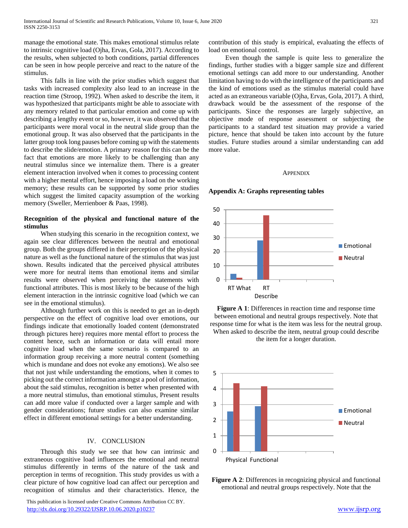manage the emotional state. This makes emotional stimulus relate to intrinsic cognitive load (Ojha, Ervas, Gola, 2017). According to the results, when subjected to both conditions, partial differences can be seen in how people perceive and react to the nature of the stimulus.

 This falls in line with the prior studies which suggest that tasks with increased complexity also lead to an increase in the reaction time (Stroop, 1992). When asked to describe the item, it was hypothesized that participants might be able to associate with any memory related to that particular emotion and come up with describing a lengthy event or so, however, it was observed that the participants were moral vocal in the neutral slide group than the emotional group. It was also observed that the participants in the latter group took long pauses before coming up with the statements to describe the slide/emotion. A primary reason for this can be the fact that emotions are more likely to be challenging than any neutral stimulus since we internalize them. There is a greater element interaction involved when it comes to processing content with a higher mental effort, hence imposing a load on the working memory; these results can be supported by some prior studies which suggest the limited capacity assumption of the working memory (Sweller, Merrienboer & Paas, 1998).

## **Recognition of the physical and functional nature of the stimulus**

 When studying this scenario in the recognition context, we again see clear differences between the neutral and emotional group. Both the groups differed in their perception of the physical nature as well as the functional nature of the stimulus that was just shown. Results indicated that the perceived physical attributes were more for neutral items than emotional items and similar results were observed when perceiving the statements with functional attributes. This is most likely to be because of the high element interaction in the intrinsic cognitive load (which we can see in the emotional stimulus).

 Although further work on this is needed to get an in-depth perspective on the effect of cognitive load over emotions, our findings indicate that emotionally loaded content (demonstrated through pictures here) requires more mental effort to process the content hence, such an information or data will entail more cognitive load when the same scenario is compared to an information group receiving a more neutral content (something which is mundane and does not evoke any emotions). We also see that not just while understanding the emotions, when it comes to picking out the correct information amongst a pool of information, about the said stimulus, recognition is better when presented with a more neutral stimulus, than emotional stimulus, Present results can add more value if conducted over a larger sample and with gender considerations; future studies can also examine similar effect in different emotional settings for a better understanding.

## IV. CONCLUSION

 Through this study we see that how can intrinsic and extraneous cognitive load influences the emotional and neutral stimulus differently in terms of the nature of the task and perception in terms of recognition. This study provides us with a clear picture of how cognitive load can affect our perception and recognition of stimulus and their characteristics. Hence, the

 This publication is licensed under Creative Commons Attribution CC BY. <http://dx.doi.org/10.29322/IJSRP.10.06.2020.p10237> [www.ijsrp.org](http://ijsrp.org/)

contribution of this study is empirical, evaluating the effects of load on emotional control.

 Even though the sample is quite less to generalize the findings, further studies with a bigger sample size and different emotional settings can add more to our understanding. Another limitation having to do with the intelligence of the participants and the kind of emotions used as the stimulus material could have acted as an extraneous variable (Ojha, Ervas, Gola, 2017). A third, drawback would be the assessment of the response of the participants. Since the responses are largely subjective, an objective mode of response assessment or subjecting the participants to a standard test situation may provide a varied picture, hence that should be taken into account by the future studies. Future studies around a similar understanding can add more value.

## **APPENDIX**



## **Appendix A: Graphs representing tables**

**Figure A 1**: Differences in reaction time and response time between emotional and neutral groups respectively. Note that response time for what is the item was less for the neutral group. When asked to describe the item, neutral group could describe the item for a longer duration.



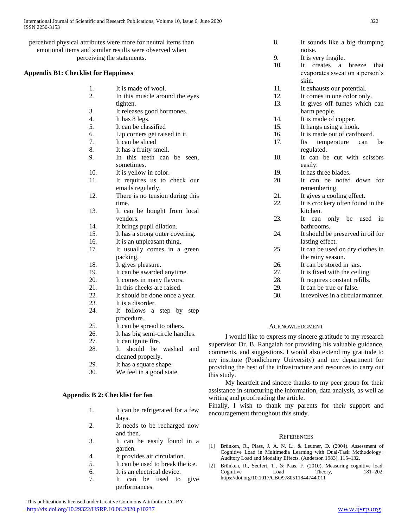1. It is made of wool.

tighten.

4. It has 8 legs. 5. It can be classified

7. It can be sliced 8. It has a fruity smell.

time.

vendors. 14. It brings pupil dilation. 15. It has a strong outer covering. 16. It is an unpleasant thing. 17. It usually comes in a green

packing. 18. It gives pleasure.

23. It is a disorder.

27. It can ignite fire.

procedure. 25. It can be spread to others. 26. It has big semi-circle handles.

19. It can be awarded anytime. 20. It comes in many flavors. 21. In this cheeks are raised. 22. It should be done once a year.

24. It follows a step by step

28. It should be washed and cleaned properly. 29. It has a square shape. 30. We feel in a good state.

sometimes. 10. It is yellow in color.

2. In this muscle around the eyes

3. It releases good hormones.

6. Lip corners get raised in it.

9. In this teeth can be seen,

11. It requires us to check our emails regularly. 12. There is no tension during this

13. It can be bought from local

perceived physical attributes were more for neutral items than emotional items and similar results were observed when perceiving the statements.

## **Appendix B1: Checklist for Happiness**

- 8. It sounds like a big thumping
- 9. It is very fragile.

noise.

- 10. It creates a breeze that evaporates sweat on a person's skin.
- 11. It exhausts our potential.
- 12. It comes in one color only.
- 13. It gives off fumes which can harm people.
- 14. It is made of copper.
- 15. It hangs using a hook.
- 16. It is made out of cardboard.
- 17. Its temperature can be regulated.
- 18. It can be cut with scissors easily.
- 19. It has three blades.
- 20. It can be noted down for remembering.
- 21. It gives a cooling effect.
- 22. It is crockery often found in the kitchen.
- 23. It can only be used in bathrooms.
- 24. It should be preserved in oil for lasting effect.
- 25. It can be used on dry clothes in the rainy season.
- 26. It can be stored in jars.
- 27. It is fixed with the ceiling.
- 28. It requires constant refills.
- 29. It can be true or false.
- 30. It revolves in a circular manner.

## ACKNOWLEDGMENT

 I would like to express my sincere gratitude to my research supervisor Dr. B. Rangaiah for providing his valuable guidance, comments, and suggestions. I would also extend my gratitude to my institute (Pondicherry University) and my department for providing the best of the infrastructure and resources to carry out this study.

 My heartfelt and sincere thanks to my peer group for their assistance in structuring the information, data analysis, as well as writing and proofreading the article.

Finally, I wish to thank my parents for their support and encouragement throughout this study.

## **REFERENCES**

- [1] Brünken, R., Plass, J. A. N. L., & Leutner, D. (2004). Assessment of Cognitive Load in Multimedia Learning with Dual-Task Methodology : Auditory Load and Modality Effects. (Anderson 1983), 115–132.
- [2] Brünken, R., Seufert, T., & Paas, F. (2010). Measuring cognitive load. Cognitive https://doi.org/10.1017/CBO9780511844744.011

## **Appendix B 2: Checklist for fan**

- 1. It can be refrigerated for a few days.
- 2. It needs to be recharged now and then.
- 3. It can be easily found in a garden.
- 4. It provides air circulation.
- 5. It can be used to break the ice.
- 6. It is an electrical device.
- 7. It can be used to give performances.

 This publication is licensed under Creative Commons Attribution CC BY. <http://dx.doi.org/10.29322/IJSRP.10.06.2020.p10237> [www.ijsrp.org](http://ijsrp.org/)